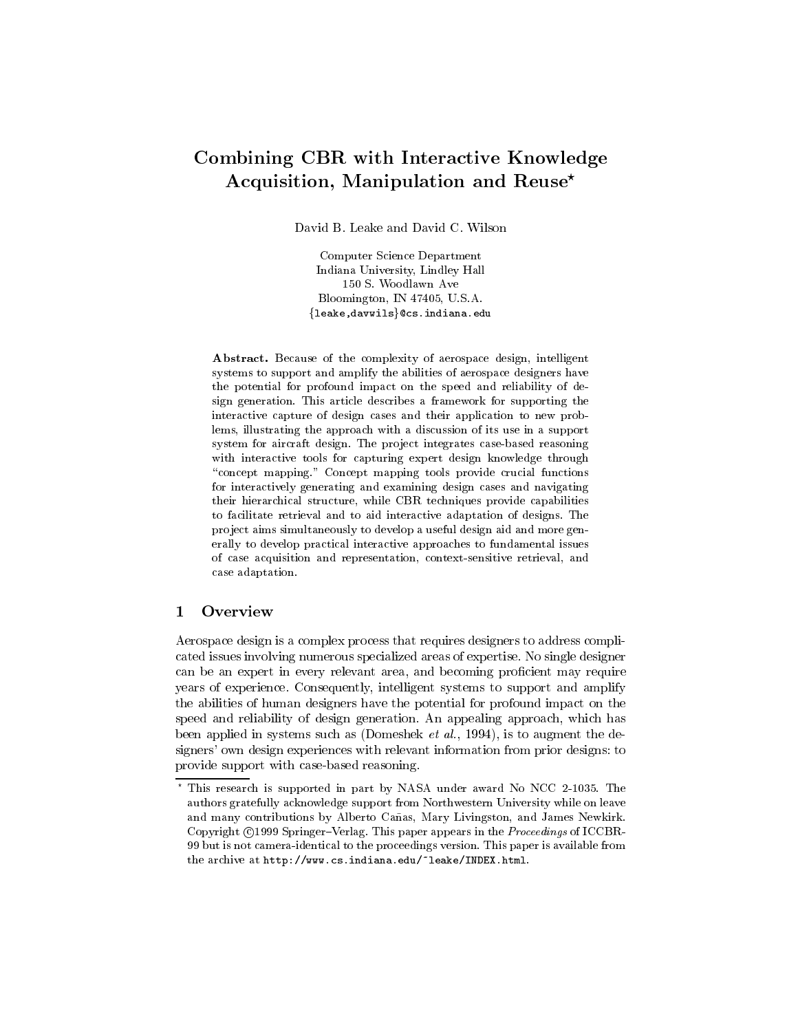# Combining CBR with Interactive Knowledge Acquisition, Manipulation and Reuse?

David B. Leake and David C. Wilson

Computer Science Department Indiana University, Lindley Hall 150 S. Woodlawn Ave Bloomington, IN 47405, U.S.A. {leake,davwils}@cs.indiana.edu

Abstract. Because of the complexity of aerospace design, intelligent systems to support and amplify the abilities of aerospace designers have the potential for profound impact on the speed and reliability of design generation. This article describes a framework for supporting the interactive capture of design cases and their application to new problems, illustrating the approach with a discussion of its use in a support system for aircraft design. The project integrates case-based reasoning with interactive tools for capturing expert design knowledge through "concept mapping." Concept mapping tools provide crucial functions for interactively generating and examining design cases and navigating their hierarchical structure, while CBR techniques provide capabilities to facilitate retrieval and to aid interactive adaptation of designs. The pro ject aims simultaneously to develop a useful design aid and more generally to develop practical interactive approaches to fundamental issues of case acquisition and representation, context-sensitive retrieval, and case adaptation.

#### $\mathbf{1}$ Overview

Aerospace design is a complex process that requires designers to address complicated issues involving numerous specialized areas of expertise. No single designer can be an expert in every relevant area, and becoming proficient may require years of experience. Consequently, intelligent systems to support and amplify the abilities of human designers have the potential for profound impact on the speed and reliability of design generation. An appealing approach, which has been applied in systems such as (Domeshek et al., 1994), is to augment the designers' own design experiences with relevant information from prior designs: to provide support with case-based reasoning.

<sup>?</sup> This research is supported in part by NASA under award No NCC 2-1035. The authors gratefully acknowledge support from Northwestern University while on leave and many contributions by Alberto Cañas, Mary Livingston, and James Newkirk. Copyright ©1999 Springer-Verlag. This paper appears in the *Proceedings* of ICCBR-99 but is not camera-identical to the proceedings version. This paper is available from the archive at http://www.cs.indiana.edu/~leake/INDEX.html.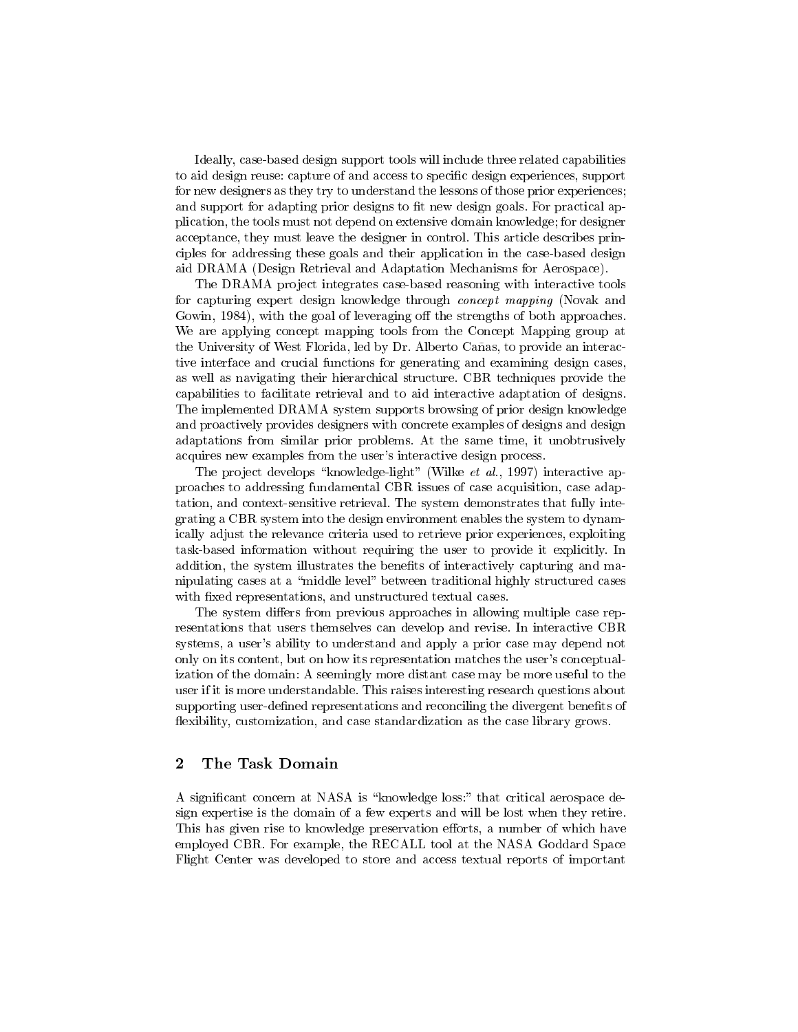Ideally, case-based design support tools will include three related capabilities to aid design reuse: capture of and access to specic design experiences, support for new designers as they try to understand the lessons of those prior experiences; and support for adapting prior designs to fit new design goals. For practical application, the tools must not depend on extensive domain knowledge; for designer acceptance, they must leave the designer in control. This article describes principles for addressing these goals and their application in the case-based design aid DRAMA (Design Retrieval and Adaptation Mechanisms for Aerospace).

The DRAMA project integrates case-based reasoning with interactive tools for capturing expert design knowledge through concept mapping (Novak and Gowin, 1984), with the goal of leveraging off the strengths of both approaches. We are applying concept mapping tools from the Concept Mapping group at the University of West Florida, led by Dr. Alberto Cañas, to provide an interactive interface and crucial functions for generating and examining design cases, as well as navigating their hierarchical structure. CBR techniques provide the capabilities to facilitate retrieval and to aid interactive adaptation of designs. The implemented DRAMA system supports browsing of prior design knowledge and proactively provides designers with concrete examples of designs and design adaptations from similar prior problems. At the same time, it unobtrusively acquires new examples from the user's interactive design process.

The project develops "knowledge-light" (Wilke *et al.*, 1997) interactive approaches to addressing fundamental CBR issues of case acquisition, case adaptation, and context-sensitive retrieval. The system demonstrates that fully integrating a CBR system into the design environment enables the system to dynamically adjust the relevance criteria used to retrieve prior experiences, exploiting task-based information without requiring the user to provide it explicitly. In addition, the system illustrates the benefits of interactively capturing and manipulating cases at a \middle level" between traditional highly structured cases with fixed representations, and unstructured textual cases.

The system differs from previous approaches in allowing multiple case representations that users themselves can develop and revise. In interactive CBR systems, a user's ability to understand and apply a prior case may depend not only on its content, but on how its representation matches the user's conceptualization of the domain: A seemingly more distant case may be more useful to the user if it is more understandable. This raises interesting research questions about supporting user-defined representations and reconciling the divergent benefits of flexibility, customization, and case standardization as the case library grows.

## 2 The Task Domain

A signicant concern at NASA is \knowledge loss:" that critical aerospace design expertise is the domain of a few experts and will be lost when they retire. This has given rise to knowledge preservation efforts, a number of which have employed CBR. For example, the RECALL tool at the NASA Goddard Space Flight Center was developed to store and access textual reports of important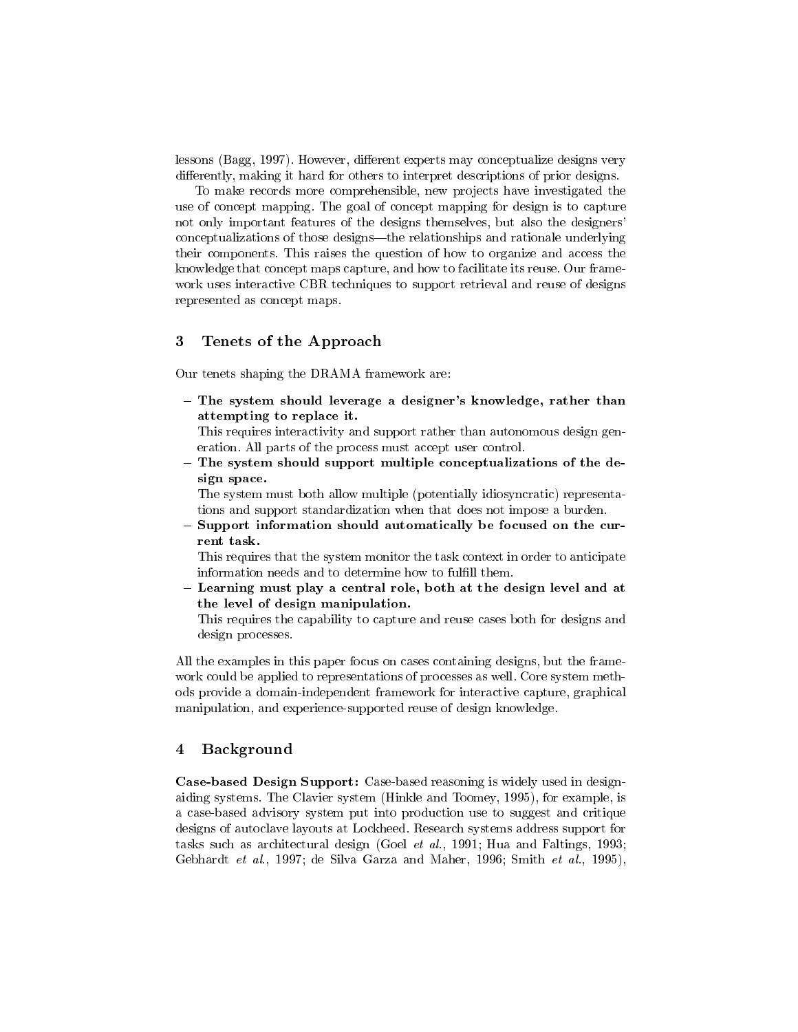lessons (Bagg, 1997). However, different experts may conceptualize designs very differently, making it hard for others to interpret descriptions of prior designs.

To make records more comprehensible, new projects have investigated the use of concept mapping. The goal of concept mapping for design is to capture not only important features of the designs themselves, but also the designers' conceptualizations of those designs—the relationships and rationale underlying their components. This raises the question of how to organize and access the knowledge that concept maps capture, and how to facilitate its reuse. Our frame work uses interactive CBR techniques to support retrieval and reuse of designs represented as concept maps.

#### Tenets of the Approach 3

Our tenets shaping the DRAMA framework are:

- The system should leverage a designer's knowledge, rather than attempting to replace it.

This requires interactivity and support rather than autonomous design generation. All parts of the process must accept user control.

- The system should support multiple conceptualizations of the design space.

The system must both allow multiple (potentially idiosyncratic) representations and support standardization when that does not impose a burden.

 $-$  Support information should automatically be focused on the current task.

This requires that the system monitor the task context in order to anticipate information needs and to determine how to fulfill them.

- Learning must play a central role, both at the design level and at the level of design manipulation.

This requires the capability to capture and reuse cases both for designs and design processes.

All the examples in this paper focus on cases containing designs, but the frame work could be applied to representations of processes as well. Core system methods provide a domain-independent framework for interactive capture, graphical manipulation, and experience-supported reuse of design knowledge.

## 4 Background

Case-based Design Support: Case-based reasoning is widely used in designaiding systems. The Clavier system (Hinkle and Toomey, 1995), for example, is a case-based advisory system put into production use to suggest and critique designs of autoclave layouts at Lockheed. Research systems address support for tasks such as architectural design (Goel et al., 1991; Hua and Faltings, 1993; Gebhardt et al., 1997; de Silva Garza and Maher, 1996; Smith et al., 1995),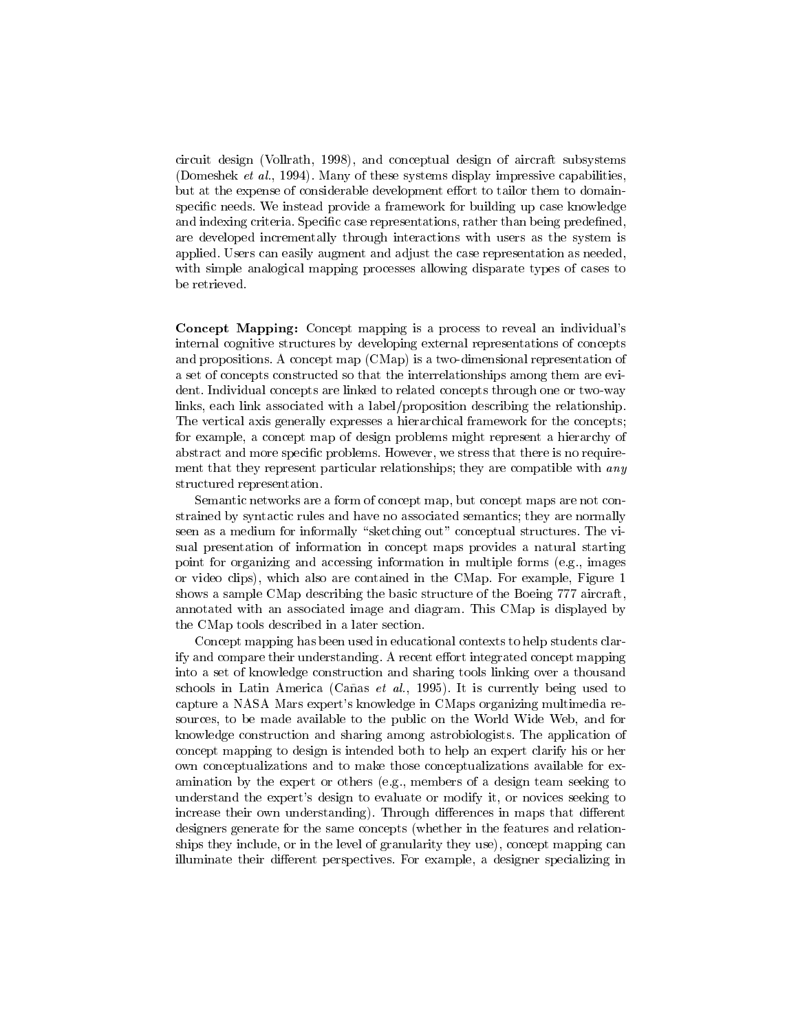circuit design (Vollrath, 1998), and conceptual design of aircraft subsystems (Domeshek et al., 1994). Many of these systems display impressive capabilities, but at the expense of considerable development effort to tailor them to domainspecific needs. We instead provide a framework for building up case knowledge and indexing criteria. Specific case representations, rather than being predefined, are developed incrementally through interactions with users as the system is applied. Users can easily augment and adjust the case representation as needed, with simple analogical mapping processes allowing disparate types of cases to be retrieved.

Concept Mapping: Concept mapping is a process to reveal an individual's internal cognitive structures by developing external representations of concepts and propositions. A concept map (CMap) is a two-dimensional representation of a set of concepts constructed so that the interrelationships among them are evident. Individual concepts are linked to related concepts through one or two-way links, each link associated with a label/proposition describing the relationship. The vertical axis generally expresses a hierarchical framework for the concepts; for example, a concept map of design problems might represent a hierarchy of abstract and more specic problems. However, we stress that there is no requirement that they represent particular relationships; they are compatible with any structured representation.

Semantic networks are a form of concept map, but concept maps are not constrained by syntactic rules and have no associated semantics; they are normally seen as a medium for informally "sketching out" conceptual structures. The visual presentation of information in concept maps provides a natural starting point for organizing and accessing information in multiple forms (e.g., images or video clips), which also are contained in the CMap. For example, Figure 1 shows a sample CMap describing the basic structure of the Boeing 777 aircraft, annotated with an associated image and diagram. This CMap is displayed by the CMap tools described in a later section.

Concept mapping has been used in educational contexts to help students clarify and compare their understanding. A recent effort integrated concept mapping into a set of knowledge construction and sharing tools linking over a thousand schools in Latin America (Cañas et al., 1995). It is currently being used to capture a NASA Mars expert's knowledge in CMaps organizing multimedia resources, to be made available to the public on the World Wide Web, and for knowledge construction and sharing among astrobiologists. The application of concept mapping to design is intended both to help an expert clarify his or her own conceptualizations and to make those conceptualizations available for examination by the expert or others (e.g., members of a design team seeking to understand the expert's design to evaluate or modify it, or novices seeking to increase their own understanding). Through differences in maps that different designers generate for the same concepts (whether in the features and relationships they include, or in the level of granularity they use), concept mapping can illuminate their different perspectives. For example, a designer specializing in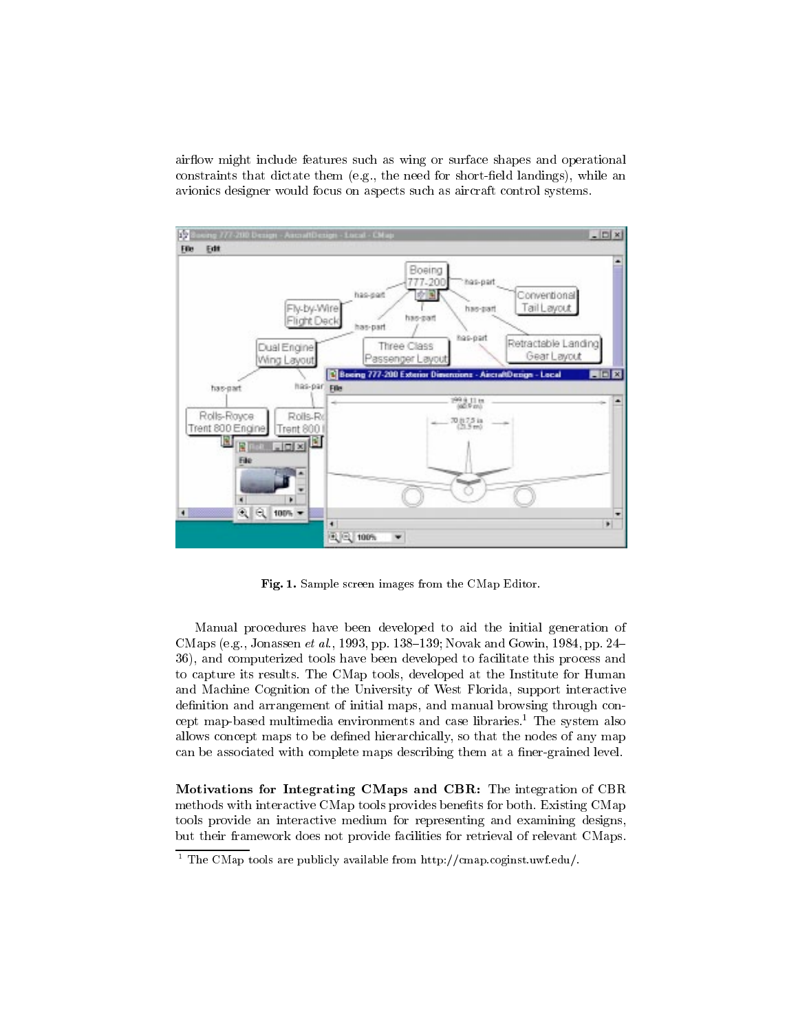airflow might include features such as wing or surface shapes and operational constraints that dictate them (e.g., the need for short-field landings), while an avionics designer would focus on aspects such as aircraft control systems.



Fig. 1. Sample screen images from the CMap Editor.

Manual procedures have been developed to aid the initial generation of CMaps (e.g., Jonassen et al., 1993, pp. 138–139; Novak and Gowin, 1984, pp. 24– 36), and computerized tools have been developed to facilitate this process and to capture its results. The CMap tools, developed at the Institute for Human and Machine Cognition of the University of West Florida, support interactive definition and arrangement of initial maps, and manual browsing through concept map-based multimedia environments and case libraries.1 The system also allows concept maps to be defined hierarchically, so that the nodes of any map can be associated with complete maps describing them at a finer-grained level.

Motivations for Integrating CMaps and CBR: The integration of CBR methods with interactive CMap tools provides benets for both. Existing CMap tools provide an interactive medium for representing and examining designs, but their framework does not provide facilities for retrieval of relevant CMaps.

<sup>1</sup> The CMap tools are publicly available from http://cmap.coginst.uwf.edu/.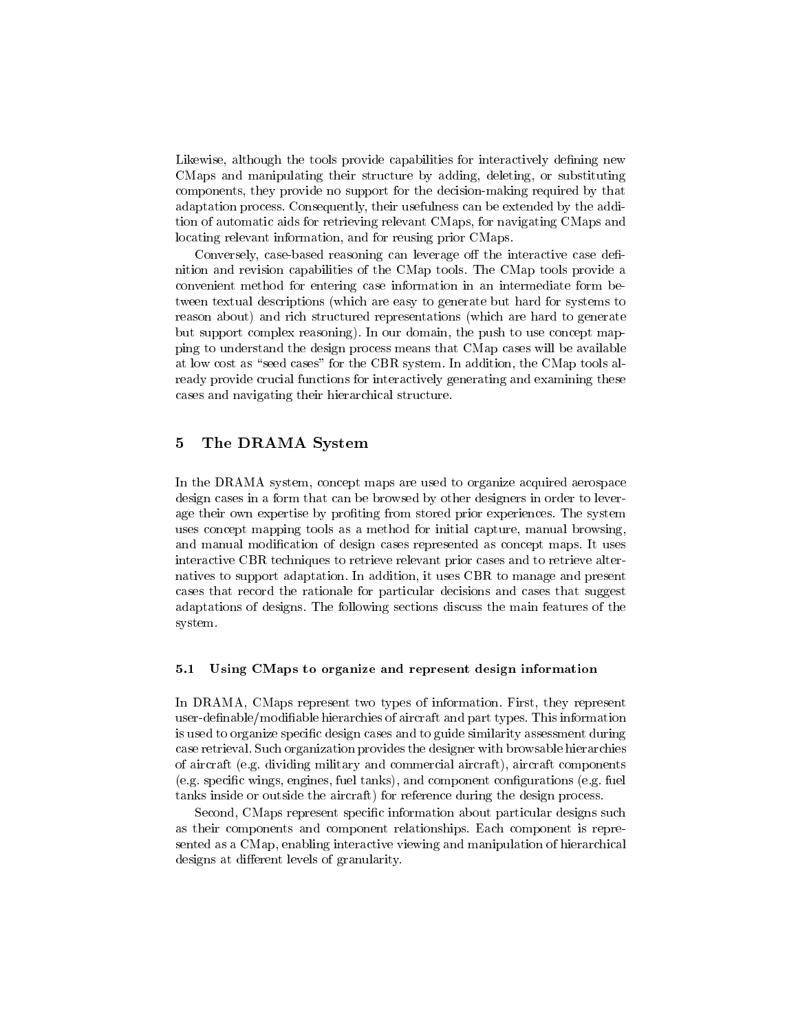Likewise, although the tools provide capabilities for interactively defining new CMaps and manipulating their structure by adding, deleting, or substituting components, they provide no support for the decision-making required by that adaptation process. Consequently, their usefulness can be extended by the addition of automatic aids for retrieving relevant CMaps, for navigating CMaps and locating relevant information, and for reusing prior CMaps.

Conversely, case-based reasoning can leverage off the interactive case definition and revision capabilities of the CMap tools. The CMap tools provide a convenient method for entering case information in an intermediate form between textual descriptions (which are easy to generate but hard for systems to reason about) and rich structured representations (which are hard to generate but support complex reasoning). In our domain, the push to use concept mapping to understand the design process means that CMap cases will be available at low cost as "seed cases" for the CBR system. In addition, the CMap tools already provide crucial functions for interactively generating and examining these cases and navigating their hierarchical structure.

#### 5 The DRAMA System

In the DRAMA system, concept maps are used to organize acquired aerospace design cases in a form that can be browsed by other designers in order to leverage their own expertise by profiting from stored prior experiences. The system uses concept mapping tools as a method for initial capture, manual browsing, and manual modication of design cases represented as concept maps. It uses interactive CBR techniques to retrieve relevant prior cases and to retrieve alternatives to support adaptation. In addition, it uses CBR to manage and present cases that record the rationale for particular decisions and cases that suggest adaptations of designs. The following sections discuss the main features of the system.

## 5.1 Using CMaps to organize and represent design information

In DRAMA, CMaps represent two types of information. First, they represent user-denable/modiable hierarchies of aircraft and part types. This information is used to organize specic design cases and to guide similarity assessment during case retrieval. Such organization provides the designer with browsable hierarchies of aircraft (e.g. dividing military and commercial aircraft), aircraft components  $(e.g. specific wings, engines, fuel tanks), and component configurations (e.g. fuel$ tanks inside or outside the aircraft) for reference during the design process.

Second, CMaps represent specic information about particular designs such as their components and component relationships. Each component is represented as a CMap, enabling interactive viewing and manipulation of hierarchical designs at different levels of granularity.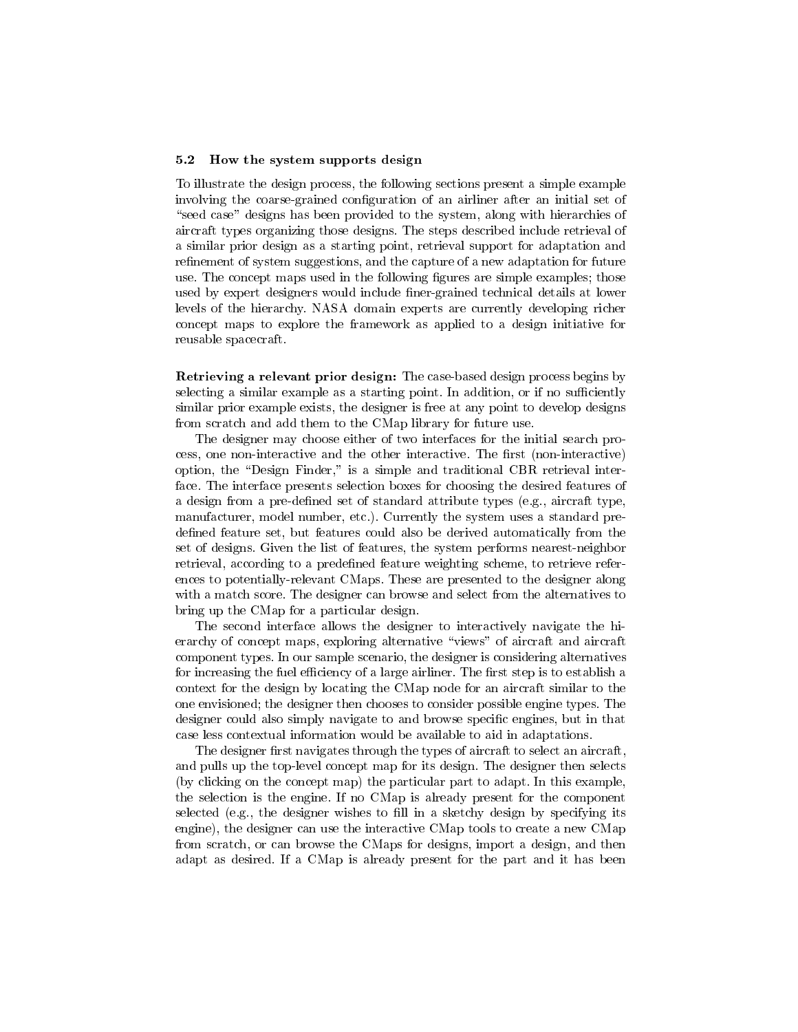### 5.2 How the system supports design

To illustrate the design process, the following sections present a simple example involving the coarse-grained configuration of an airliner after an initial set of "seed case" designs has been provided to the system, along with hierarchies of aircraft types organizing those designs. The steps described include retrieval of a similar prior design as a starting point, retrieval support for adaptation and refinement of system suggestions, and the capture of a new adaptation for future use. The concept maps used in the following figures are simple examples; those used by expert designers would include finer-grained technical details at lower levels of the hierarchy. NASA domain experts are currently developing richer concept maps to explore the framework as applied to a design initiative for reusable spacecraft.

Retrieving a relevant prior design: The case-based design process begins by selecting a similar example as a starting point. In addition, or if no sufficiently similar prior example exists, the designer is free at any point to develop designs from scratch and add them to the CMap library for future use.

The designer may choose either of two interfaces for the initial search process, one non-interactive and the other interactive. The first (non-interactive) option, the "Design Finder," is a simple and traditional CBR retrieval interface. The interface presents selection boxes for choosing the desired features of a design from a pre-defined set of standard attribute types (e.g., aircraft type, manufacturer, model number, etc.). Currently the system uses a standard predefined feature set, but features could also be derived automatically from the set of designs. Given the list of features, the system performs nearest-neighbor retrieval, according to a predefined feature weighting scheme, to retrieve references to potentially-relevant CMaps. These are presented to the designer along with a match score. The designer can browse and select from the alternatives to bring up the CMap for a particular design.

The second interface allows the designer to interactively navigate the hierarchy of concept maps, exploring alternative \views" of aircraft and aircraft component types. In our sample scenario, the designer is considering alternatives for increasing the fuel efficiency of a large airliner. The first step is to establish a context for the design by locating the CMap node for an aircraft similar to the one envisioned; the designer then chooses to consider possible engine types. The designer could also simply navigate to and browse specic engines, but in that case less contextual information would be available to aid in adaptations.

The designer first navigates through the types of aircraft to select an aircraft, and pulls up the top-level concept map for its design. The designer then selects (by clicking on the concept map) the particular part to adapt. In this example, the selection is the engine. If no CMap is already present for the component selected (e.g., the designer wishes to fill in a sketchy design by specifying its engine), the designer can use the interactive CMap tools to create a new CMap from scratch, or can browse the CMaps for designs, import a design, and then adapt as desired. If a CMap is already present for the part and it has been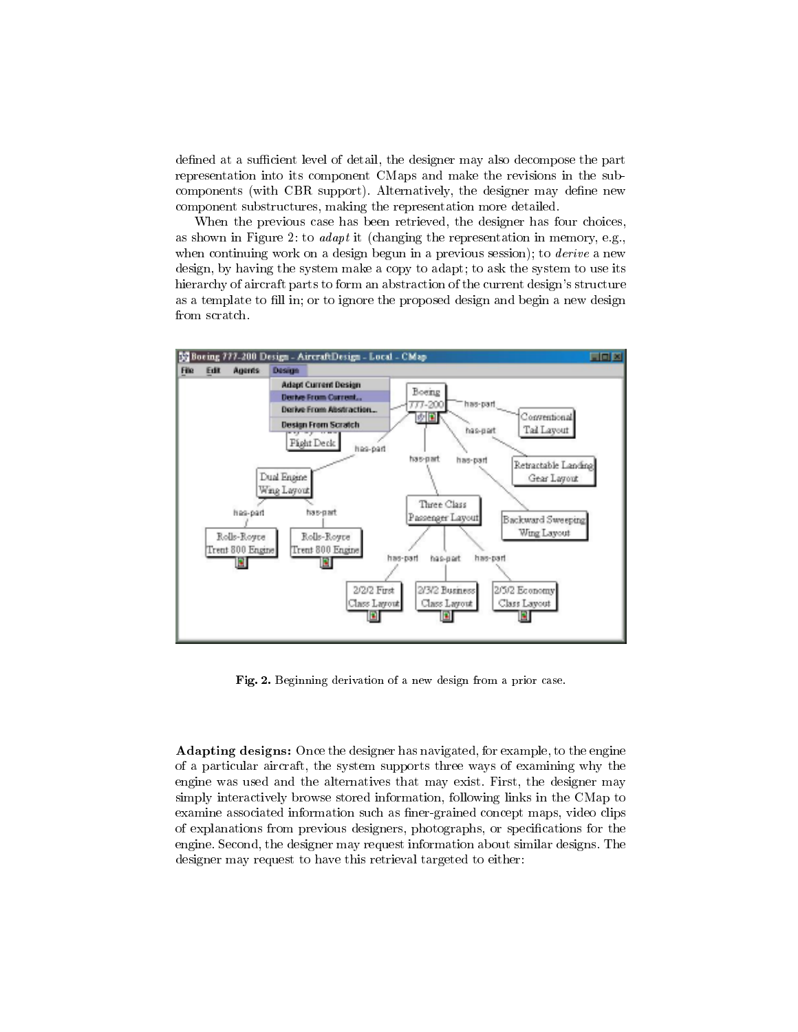defined at a sufficient level of detail, the designer may also decompose the part representation into its component CMaps and make the revisions in the subcomponents (with CBR support). Alternatively, the designer may define new component substructures, making the representation more detailed.

When the previous case has been retrieved, the designer has four choices, as shown in Figure 2: to adapt it (changing the representation in memory, e.g., when continuing work on a design begun in a previous session); to *derive* a new design, by having the system make a copy to adapt; to ask the system to use its hierarchy of aircraft parts to form an abstraction of the current design's structure as a template to fill in; or to ignore the proposed design and begin a new design from scratch.



Fig. 2. Beginning derivation of a new design from a prior case.

Adapting designs: Once the designer has navigated, for example, to the engine of a particular aircraft, the system supports three ways of examining why the engine was used and the alternatives that may exist. First, the designer may simply interactively browse stored information, following links in the CMap to examine associated information such as fine r-grained concept maps, video clips of explanations from previous designers, photographs, or specications for the engine. Second, the designer may request information about similar designs. The designer may request to have this retrieval targeted to either: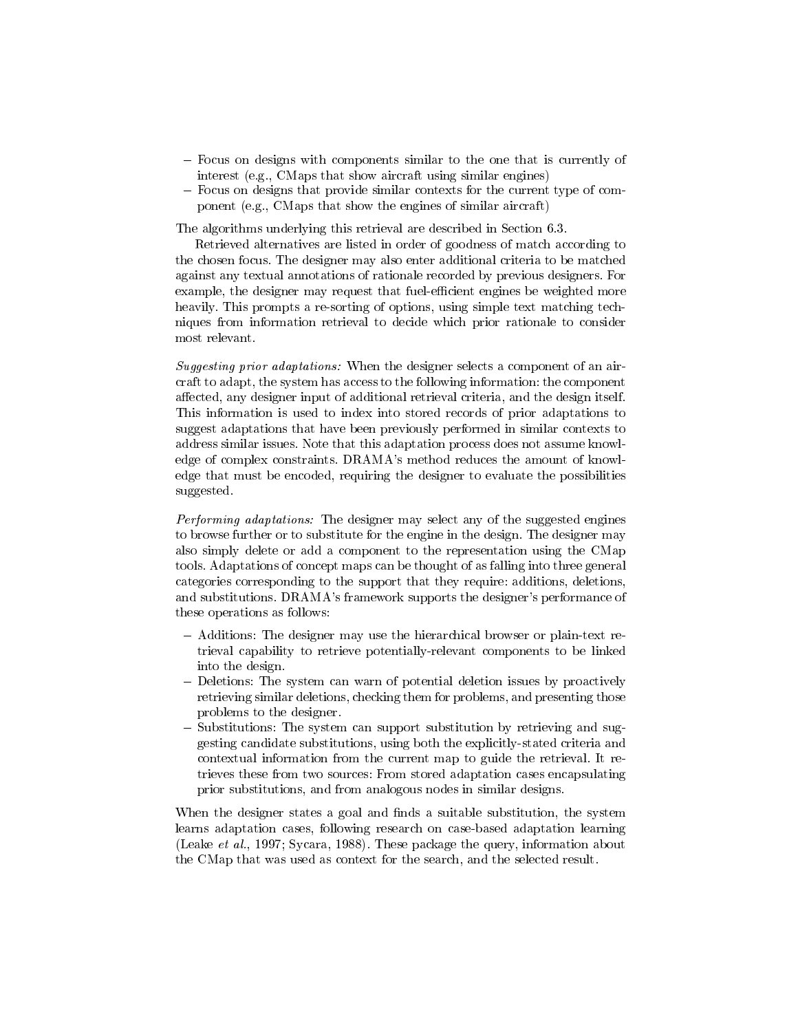- Focus on designs with components similar to the one that is currently of interest (e.g., CMaps that show aircraft using similar engines)
- { Focus on designs that provide similar contexts for the current type of component (e.g., CMaps that show the engines of similar aircraft)

The algorithms underlying this retrieval are described in Section 6.3.

Retrieved alternatives are listed in order of goodness of match according to the chosen focus. The designer may also enter additional criteria to be matched against any textual annotations of rationale recorded by previous designers. For example, the designer may request that fuel-efficient engines be weighted more heavily. This prompts a re-sorting of options, using simple text matching techniques from information retrieval to decide which prior rationale to consider most relevant.

 $S$ uggesting prior adaptations. When the designer selects a component of an allcraft to adapt, the system has access to the following information: the component affected, any designer input of additional retrieval criteria, and the design itself. This information is used to index into stored records of prior adaptations to suggest adaptations that have been previously performed in similar contexts to address similar issues. Note that this adaptation process does not assume knowledge of complex constraints. DRAMA's method reduces the amount of knowledge that must be encoded, requiring the designer to evaluate the possibilities suggested.

Performing adaptations: The designer may select any of the suggested engines to browse further or to substitute for the engine in the design. The designer may also simply delete or add a component to the representation using the CMap tools. Adaptations of concept maps can be thought of as falling into three general categories corresponding to the support that they require: additions, deletions, and substitutions. DRAMA's framework supports the designer's performance of these operations as follows:

- { Additions: The designer may use the hierarchical browser or plain-text retrieval capability to retrieve potentially-relevant components to be linked into the design.
- Deletions: The system can warn of potential deletion issues by proactively retrieving similar deletions, checking them for problems, and presenting those problems to the designer.
- ${\sim}$  Substitutions: The system can support substitution by retrieving and suggesting candidate substitutions, using both the explicitly-stated criteria and contextual information from the current map to guide the retrieval. It retrieves these from two sources: From stored adaptation cases encapsulating prior substitutions, and from analogous nodes in similar designs.

When the designer states a goal and finds a suitable substitution, the system learns adaptation cases, following research on case-based adaptation learning (Leake et al., 1997; Sycara, 1988). These package the query, information about the CMap that was used as context for the search, and the selected result.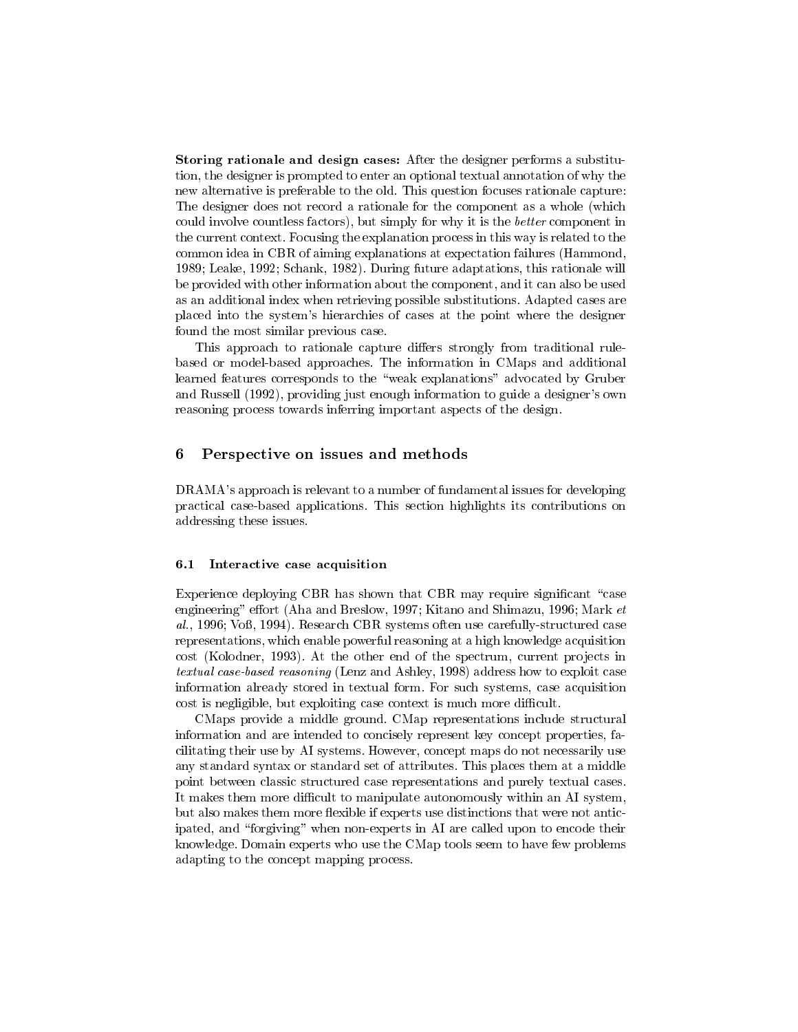Storing rationale and design cases: After the designer performs a substitution, the designer is prompted to enter an optional textual annotation of why the new alternative is preferable to the old. This question focuses rationale capture: The designer does not record a rationale for the component as a whole (which could involve countless factors), but simply for why it is the better component in the current context. Focusing the explanation process in this way is related to the common idea in CBR of aiming explanations at expectation failures (Hammond, 1989; Leake, 1992; Schank, 1982). During future adaptations, this rationale will be provided with other information about the component, and it can also be used as an additional index when retrieving possible substitutions. Adapted cases are placed into the system's hierarchies of cases at the point where the designer found the most similar previous case.

This approach to rationale capture differs strongly from traditional rulebased or model-based approaches. The information in CMaps and additional learned features corresponds to the "weak explanations" advocated by Gruber and Russell (1992), providing just enough information to guide a designer's own reasoning process towards inferring important aspects of the design.

#### 6 Perspective on issues and methods

DRAMA's approach is relevant to a number of fundamental issues for developing practical case-based applications. This section highlights its contributions on addressing these issues.

### 6.1 Interactive case acquisition

Experience deploying CBR has shown that CBR may require significant "case engineering" effort (Aha and Breslow, 1997; Kitano and Shimazu, 1996; Mark et  $al., 1996$ ; Vo $, 1994$ ). Research CBR systems often use carefully-structured case representations, which enable powerful reasoning at a high knowledge acquisition cost (Kolodner, 1993). At the other end of the spectrum, current projects in textual case-based reasoning (Lenz and Ashley, 1998) address how to exploit case information already stored in textual form. For such systems, case acquisition cost is negligible, but exploiting case context is much more difficult.

CMaps provide a middle ground. CMap representations include structural information and are intended to concisely represent key concept properties, facilitating their use by AI systems. However, concept maps do not necessarily use any standard syntax or standard set of attributes. This places them at a middle point between classic structured case representations and purely textual cases. It makes them more difficult to manipulate autonomously within an AI system, but also makes them more flexible if experts use distinctions that were not anticipated, and "forgiving" when non-experts in AI are called upon to encode their knowledge. Domain experts who use the CMap tools seem to have few problems adapting to the concept mapping process.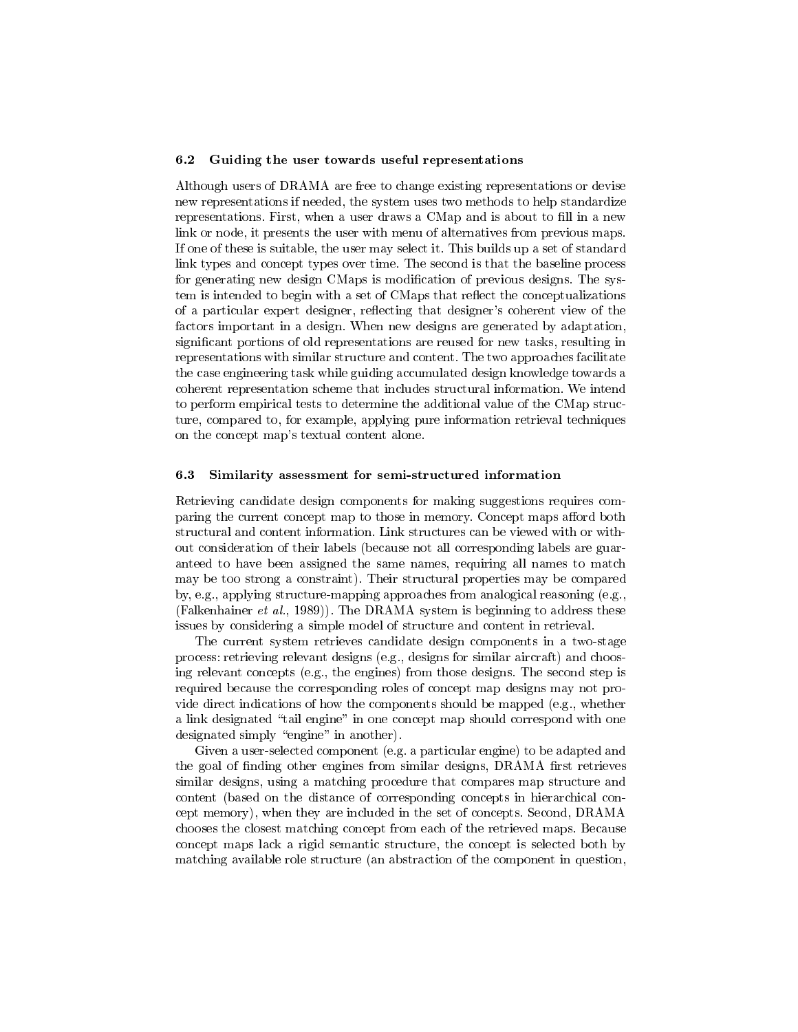### 6.2 Guiding the user towards useful representations

Although users of DRAMA are free to change existing representations or devise new representations if needed, the system uses two methods to help standardize representations. First, when a user draws a CMap and is about to fill in a new link or node, it presents the user with menu of alternatives from previous maps. If one of these is suitable, the user may select it. This builds up a set of standard link types and concept types over time. The second is that the baseline process for generating new design CMaps is modification of previous designs. The system is intended to begin with a set of CMaps that reflect the conceptualizations of a particular expert designer, reflecting that designer's coherent view of the factors important in a design. When new designs are generated by adaptation, signicant portions of old representations are reused for new tasks, resulting in representations with similar structure and content. The two approaches facilitate the case engineering task while guiding accumulated design knowledge towards a coherent representation scheme that includes structural information. We intend to perform empirical tests to determine the additional value of the CMap structure, compared to, for example, applying pure information retrieval techniques on the concept map's textual content alone.

### 6.3 Similarity assessment for semi-structured information

Retrieving candidate design components for making suggestions requires comparing the current concept map to those in memory. Concept maps afford both structural and content information. Link structures can be viewed with or without consideration of their labels (because not all corresponding labels are guaranteed to have been assigned the same names, requiring all names to match may be too strong a constraint). Their structural properties may be compared by, e.g., applying structure-mapping approaches from analogical reasoning (e.g., (Falkenhainer et al., 1989)). The DRAMA system is beginning to address these issues by considering a simple model of structure and content in retrieval.

The current system retrieves candidate design components in a two-stage process: retrieving relevant designs (e.g., designs for similar aircraft) and choosing relevant concepts (e.g., the engines) from those designs. The second step is required because the corresponding roles of concept map designs may not provide direct indications of how the components should be mapped (e.g., whether a link designated "tail engine" in one concept map should correspond with one designated simply "engine" in another).

Given a user-selected component (e.g. a particular engine) to be adapted and the goal of finding other engines from similar designs, DRAMA first retrieves similar designs, using a matching procedure that compares map structure and content (based on the distance of corresponding concepts in hierarchical concept memory), when they are included in the set of concepts. Second, DRAMA chooses the closest matching concept from each of the retrieved maps. Because concept maps lack a rigid semantic structure, the concept is selected both by matching available role structure (an abstraction of the component in question,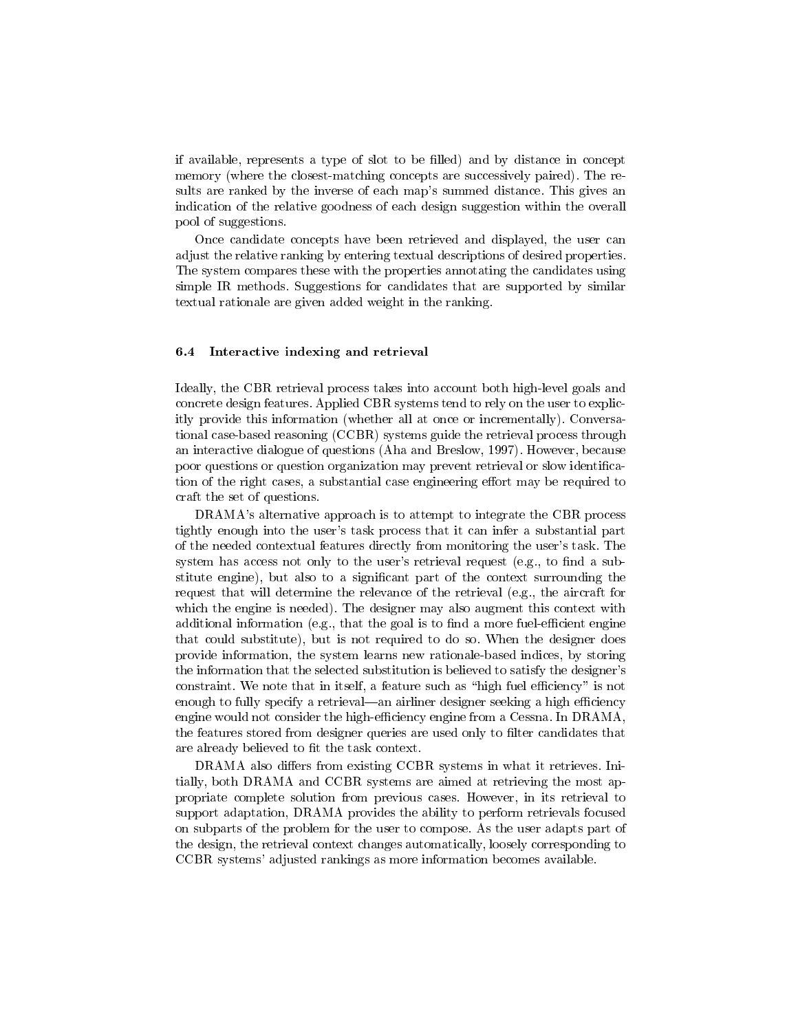if available, represents a type of slot to be lled) and by distance in concept memory (where the closest-matching concepts are successively paired). The results are ranked by the inverse of each map's summed distance. This gives an indication of the relative goodness of each design suggestion within the overall pool of suggestions.

Once candidate concepts have been retrieved and displayed, the user can adjust the relative ranking by entering textual descriptions of desired properties. The system compares these with the properties annotating the candidates using simple IR methods. Suggestions for candidates that are supported by similar textual rationale are given added weight in the ranking.

## 6.4 Interactive indexing and retrieval

Ideally, the CBR retrieval process takes into account both high-level goals and concrete design features. Applied CBR systems tend to rely on the user to explicitly provide this information (whether all at once or incrementally). Conversational case-based reasoning (CCBR) systems guide the retrieval process through an interactive dialogue of questions (Aha and Breslow, 1997). However, because poor questions or question organization may prevent retrieval or slow identification of the right cases, a substantial case engineering effort may be required to craft the set of questions.

DRAMA's alternative approach is to attempt to integrate the CBR process tightly enough into the user's task process that it can infer a substantial part of the needed contextual features directly from monitoring the user's task. The system has access not only to the user's retrieval request (e.g., to find a substitute engine), but also to a signicant part of the context surrounding the request that will determine the relevance of the retrieval (e.g., the aircraft for which the engine is needed). The designer may also augment this context with additional information (e.g., that the goal is to find a more fuel-efficient engine that could substitute), but is not required to do so. When the designer does provide information, the system learns new rationale-based indices, by storing the information that the selected substitution is believed to satisfy the designer's constraint. We note that in itself, a feature such as "high fuel efficiency" is not enough to fully specify a retrieval-an airliner designer seeking a high efficiency engine would not consider the high-efficiency engine from a Cessna. In DRAMA, the features stored from designer queries are used only to filter candidates that are already believed to fit the task context.

DRAMA also differs from existing CCBR systems in what it retrieves. Initially, both DRAMA and CCBR systems are aimed at retrieving the most appropriate complete solution from previous cases. However, in its retrieval to support adaptation, DRAMA provides the ability to perform retrievals focused on subparts of the problem for the user to compose. As the user adapts part of the design, the retrieval context changes automatically, loosely corresponding to CCBR systems' adjusted rankings as more information becomes available.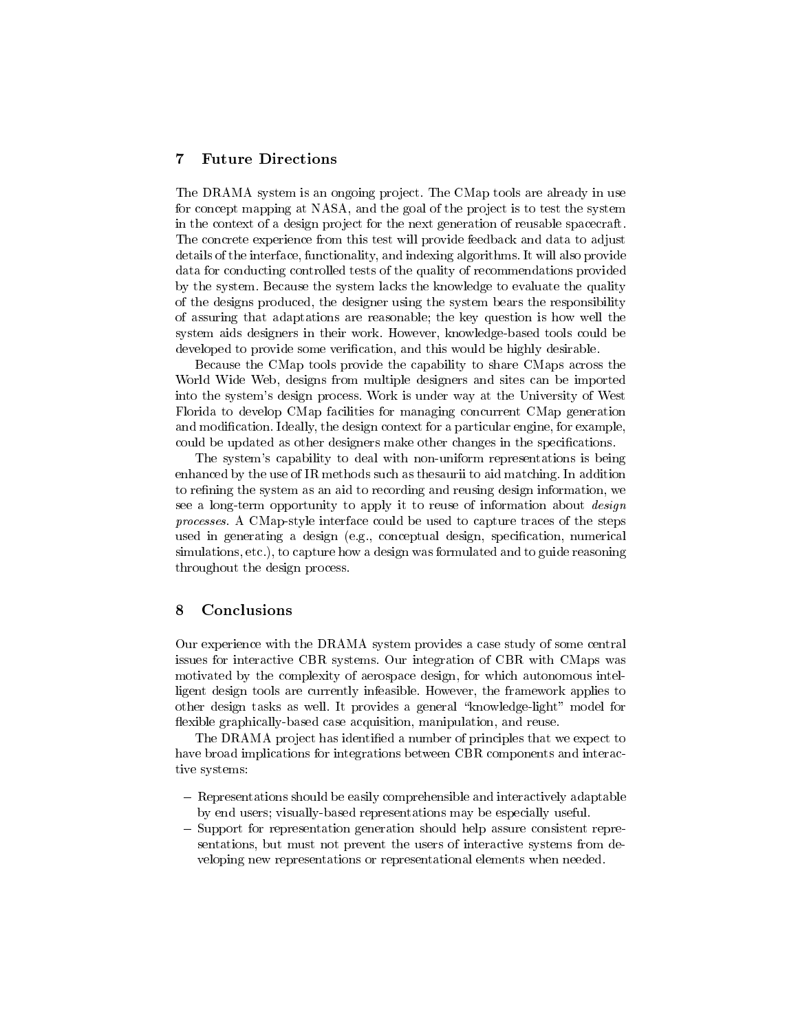## 7 Future Directions

The DRAMA system is an ongoing project. The CMap tools are already in use for concept mapping at NASA, and the goal of the project is to test the system in the context of a design project for the next generation of reusable spacecraft. The concrete experience from this test will provide feedback and data to adjust details of the interface, functionality, and indexing algorithms. It will also provide data for conducting controlled tests of the quality of recommendations provided by the system. Because the system lacks the knowledge to evaluate the quality of the designs produced, the designer using the system bears the responsibility of assuring that adaptations are reasonable; the key question ishow well the system aids designers in their work. However, knowledge-based tools could be developed to provide some verification, and this would be highly desirable.

Because the CMap tools provide the capability to share CMaps across the World Wide Web, designs from multiple designers and sites can be imported into the system's design process. Work is under way at the University of West Florida to develop CMap facilities for managing concurrent CMap generation and modication. Ideally, the design context for a particular engine, for example, could be updated as other designers make other changes in the specifications.

The system's capability to deal with non-uniform representations is being enhanced by the use of IR methods such as thesaurii to aid matching. In addition to refining the system as an aid to recording and reusing design information, we see a long-term opportunity to apply it to reuse of information about *design* processes. A CMap-style interface could be used to capture traces of the steps used in generating a design  $(e.g., conceptual design, specification, numerical)$ simulations, etc.), to capture how a design was formulated and to guide reasoning throughout the design process.

## 8 Conclusions

Our experience with the DRAMA system provides a case study of some central issues for interactive CBR systems. Our integration of CBR with CMaps was motivated by the complexity of aerospace design, for which autonomous intelligent design tools are currently infeasible. However, the framework applies to other design tasks as well. It provides a general \knowledge-light" model for flexible graphically-based case acquisition, manipulation, and reuse.

The DRAMA project has identified a number of principles that we expect to have broad implications for integrations between CBR components and interactive systems:

- Representations should be easily comprehensible and interactively adaptable by end users; visually-based representations may be especially useful.
- ${\sf -}$  Support for representation generation should help assure consistent representations, but must not prevent the users of interactive systems from de veloping new representations or representational elements when needed.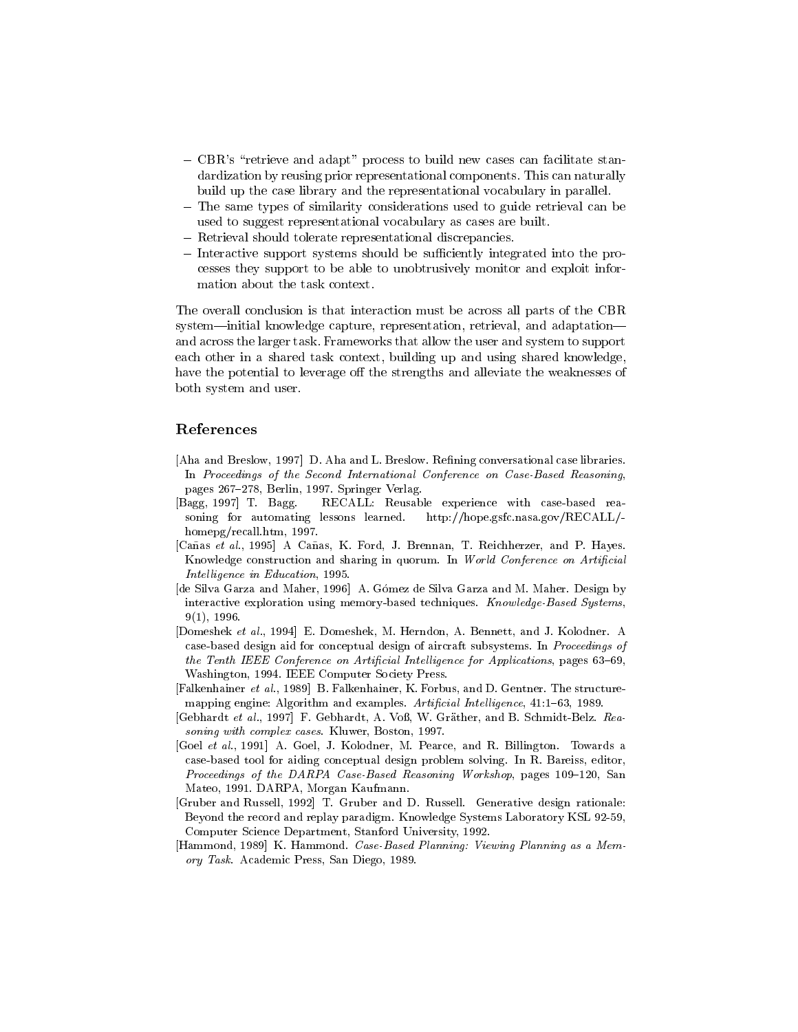- ${\rm CBR's}$  "retrieve and adapt" process to build new cases can facilitate standardization by reusing prior representational components. This can naturally build up the case library and the representational vocabulary in parallel.
- { The same types of similarity considerations used to guide retrieval can be used to suggest representational vocabulary as cases are built.
- ${\rm -}$  Retrieval should tolerate representational discrepancies.
- Interactive support systems should be sufficiently integrated into the processes they support to be able to unobtrusively monitor and exploit information about the task context.

The overall conclusion is that interaction must be across all parts of the CBR system—initial knowledge capture, representation, retrieval, and adaptation and across the larger task. Frameworks that allow the user and system to support each other in a shared task context, building up and using shared knowledge, have the potential to leverage off the strengths and alleviate the weaknesses of both system and user.

## References

- [Aha and Breslow, 1997] D. Aha and L. Breslow. Refining conversational case libraries. In Proceedings of the Second International Conference on Case-Based Reasoning, pages 267-278, Berlin, 1997. Springer Verlag.
- [Bagg, 1997] T. Bagg. RECALL: Reusable experience with case-based rea soning for automating lessons learned. http://hope.gsfc.nasa.gov/RECALL/ homepg/recall.htm, 1997.
- [Cañas et al., 1995] A Cañas, K. Ford, J. Brennan, T. Reichherzer, and P. Hayes. Knowledge construction and sharing in quorum. In World Conference on Artificial Intelligence in Education, 1995.
- [de Silva Garza and Maher, 1996] A. Gomez de Silva Garza and M. Maher. Design by interactive exploration using memory-based techniques. Know ledge-Based Systems, 9(1), 1996.
- [Domeshek et al., 1994] E. Domeshek, M. Herndon, A. Bennett, and J. Kolodner. A case-based design aid for conceptual design of aircraft subsystems. In Proceedings of the Tenth IEEE Conference on Artificial Intelligence for Applications, pages  $63-69$ , Washington, 1994. IEEE Computer Society Press.
- [Falkenhainer et al., 1989] B. Falkenhainer, K. Forbus, and D. Gentner. The structuremapping engine: Algorithm and examples. Artificial Intelligence, 41:1-63, 1989.
- [Gebhardt et al., 1997] F. Gebhardt, A. Voß, W. Gräther, and B. Schmidt-Belz. Reasoning with complex cases. Kluwer, Boston, 1997.
- [Goel et al., 1991] A. Goel, J. Kolodner, M. Pearce, and R. Billington. Towards a case-based tool for aiding conceptual design problem solving. In R. Bareiss, editor, Proceedings of the DARPA Case-Based Reasoning Workshop, pages  $109-120$ , San Mateo, 1991. DARPA, Morgan Kaufmann.
- [Gruber and Russell, 1992] T. Gruber and D. Russell. Generative design rationale: Beyond the record and replay paradigm. Knowledge Systems Laboratory KSL 92-59, Computer Science Department, Stanford University, 1992.
- [Hammond, 1989] K. Hammond. Case-Based Planning: Viewing Planning as a Memory Task. Academic Press, San Diego, 1989.